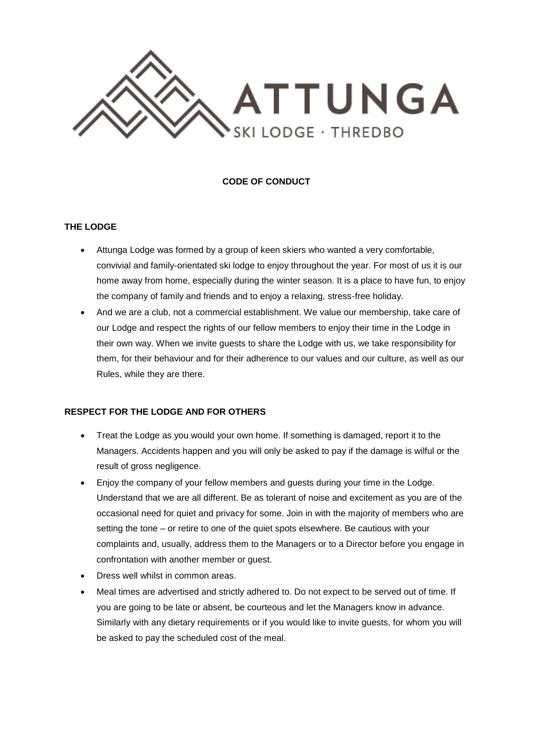

#### **CODE OF CONDUCT**

#### **THE LODGE**

- Attunga Lodge was formed by a group of keen skiers who wanted a very comfortable, convivial and family-orientated ski lodge to enjoy throughout the year. For most of us it is our home away from home, especially during the winter season. It is a place to have fun, to enjoy the company of family and friends and to enjoy a relaxing, stress-free holiday.
- And we are a club, not a commercial establishment. We value our membership, take care of our Lodge and respect the rights of our fellow members to enjoy their time in the Lodge in their own way. When we invite guests to share the Lodge with us, we take responsibility for them, for their behaviour and for their adherence to our values and our culture, as well as our Rules, while they are there.

#### **RESPECT FOR THE LODGE AND FOR OTHERS**

- Treat the Lodge as you would your own home. If something is damaged, report it to the Managers. Accidents happen and you will only be asked to pay if the damage is wilful or the result of gross negligence.
- Enjoy the company of your fellow members and guests during your time in the Lodge. Understand that we are all different. Be as tolerant of noise and excitement as you are of the occasional need for quiet and privacy for some. Join in with the majority of members who are setting the tone – or retire to one of the quiet spots elsewhere. Be cautious with your complaints and, usually, address them to the Managers or to a Director before you engage in confrontation with another member or guest.
- Dress well whilst in common areas.
- Meal times are advertised and strictly adhered to. Do not expect to be served out of time. If you are going to be late or absent, be courteous and let the Managers know in advance. Similarly with any dietary requirements or if you would like to invite guests, for whom you will be asked to pay the scheduled cost of the meal.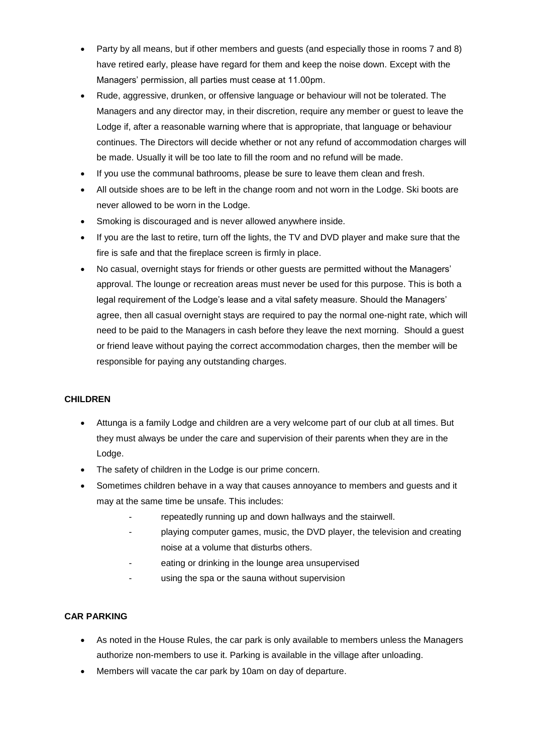- Party by all means, but if other members and guests (and especially those in rooms 7 and 8) have retired early, please have regard for them and keep the noise down. Except with the Managers' permission, all parties must cease at 11.00pm.
- Rude, aggressive, drunken, or offensive language or behaviour will not be tolerated. The Managers and any director may, in their discretion, require any member or guest to leave the Lodge if, after a reasonable warning where that is appropriate, that language or behaviour continues. The Directors will decide whether or not any refund of accommodation charges will be made. Usually it will be too late to fill the room and no refund will be made.
- If you use the communal bathrooms, please be sure to leave them clean and fresh.
- All outside shoes are to be left in the change room and not worn in the Lodge. Ski boots are never allowed to be worn in the Lodge.
- Smoking is discouraged and is never allowed anywhere inside.
- If you are the last to retire, turn off the lights, the TV and DVD player and make sure that the fire is safe and that the fireplace screen is firmly in place.
- No casual, overnight stays for friends or other guests are permitted without the Managers' approval. The lounge or recreation areas must never be used for this purpose. This is both a legal requirement of the Lodge's lease and a vital safety measure. Should the Managers' agree, then all casual overnight stays are required to pay the normal one-night rate, which will need to be paid to the Managers in cash before they leave the next morning. Should a guest or friend leave without paying the correct accommodation charges, then the member will be responsible for paying any outstanding charges.

## **CHILDREN**

- Attunga is a family Lodge and children are a very welcome part of our club at all times. But they must always be under the care and supervision of their parents when they are in the Lodge.
- The safety of children in the Lodge is our prime concern.
- Sometimes children behave in a way that causes annoyance to members and guests and it may at the same time be unsafe. This includes:
	- repeatedly running up and down hallways and the stairwell.
	- playing computer games, music, the DVD player, the television and creating noise at a volume that disturbs others.
	- eating or drinking in the lounge area unsupervised
	- using the spa or the sauna without supervision

## **CAR PARKING**

- As noted in the House Rules, the car park is only available to members unless the Managers authorize non-members to use it. Parking is available in the village after unloading.
- Members will vacate the car park by 10am on day of departure.